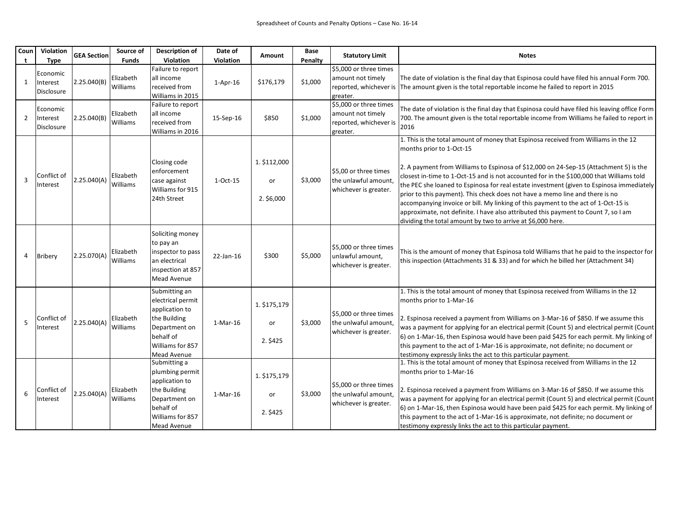| Coun<br>t      | Violation<br>Type                  | <b>GEA Section</b> | Source of<br><b>Funds</b> | <b>Description of</b><br>Violation                                                                                                    | Date of<br>Violation | <b>Amount</b>                    | Base<br>Penalty | <b>Statutory Limit</b>                                                            | <b>Notes</b>                                                                                                                                                                                                                                                                                                                                                                                                                                                                                                                                                                                                                                                                                                                |
|----------------|------------------------------------|--------------------|---------------------------|---------------------------------------------------------------------------------------------------------------------------------------|----------------------|----------------------------------|-----------------|-----------------------------------------------------------------------------------|-----------------------------------------------------------------------------------------------------------------------------------------------------------------------------------------------------------------------------------------------------------------------------------------------------------------------------------------------------------------------------------------------------------------------------------------------------------------------------------------------------------------------------------------------------------------------------------------------------------------------------------------------------------------------------------------------------------------------------|
| $\mathbf{1}$   | Economic<br>Interest<br>Disclosure | 2.25.040(B)        | Elizabeth<br>Williams     | Failure to report<br>all income<br>received from<br>Williams in 2015                                                                  | $1-Apr-16$           | \$176,179                        | \$1,000         | \$5,000 or three times<br>amount not timely<br>reported, whichever is<br>greater. | The date of violation is the final day that Espinosa could have filed his annual Form 700.<br>The amount given is the total reportable income he failed to report in 2015                                                                                                                                                                                                                                                                                                                                                                                                                                                                                                                                                   |
| $\overline{2}$ | Economic<br>Interest<br>Disclosure | 2.25.040(B)        | Elizabeth<br>Williams     | Failure to report<br>all income<br>received from<br>Williams in 2016                                                                  | 15-Sep-16            | \$850                            | \$1,000         | \$5,000 or three times<br>amount not timely<br>reported, whichever is<br>greater. | The date of violation is the final day that Espinosa could have filed his leaving office Form<br>700. The amount given is the total reportable income from Williams he failed to report in<br>2016                                                                                                                                                                                                                                                                                                                                                                                                                                                                                                                          |
| $\overline{3}$ | Conflict of<br>Interest            | 2.25.040(A)        | Elizabeth<br>Williams     | Closing code<br>enforcement<br>case against<br>Williams for 915<br>24th Street                                                        | 1-Oct-15             | 1. \$112,000<br>or<br>2. \$6,000 | \$3,000         | \$5,00 or three times<br>the unlawful amount,<br>whichever is greater.            | 1. This is the total amount of money that Espinosa received from Williams in the 12<br>months prior to 1-Oct-15<br>2. A payment from Williams to Espinosa of \$12,000 on 24-Sep-15 (Attachment 5) is the<br>closest in-time to 1-Oct-15 and is not accounted for in the \$100,000 that Williams told<br>the PEC she loaned to Espinosa for real estate investment (given to Espinosa immediately<br>prior to this payment). This check does not have a memo line and there is no<br>accompanying invoice or bill. My linking of this payment to the act of 1-Oct-15 is<br>approximate, not definite. I have also attributed this payment to Count 7, so I am<br>dividing the total amount by two to arrive at \$6,000 here. |
| 4              | Bribery                            | 2.25.070(A)        | Elizabeth<br>Williams     | Soliciting money<br>to pay an<br>inspector to pass<br>an electrical<br>inspection at 857<br>Mead Avenue                               | 22-Jan-16            | \$300                            | \$5,000         | \$5,000 or three times<br>unlawful amount,<br>whichever is greater.               | This is the amount of money that Espinosa told Williams that he paid to the inspector for<br>this inspection (Attachments 31 & 33) and for which he billed her (Attachment 34)                                                                                                                                                                                                                                                                                                                                                                                                                                                                                                                                              |
| 5              | Conflict of<br>Interest            | 2.25.040(A)        | Elizabeth<br>Williams     | Submitting an<br>electrical permit<br>application to<br>the Building<br>Department on<br>behalf of<br>Williams for 857<br>Mead Avenue | 1-Mar-16             | 1. \$175,179<br>or<br>2. \$425   | \$3,000         | \$5,000 or three times<br>the unlwaful amount,<br>whichever is greater.           | 1. This is the total amount of money that Espinosa received from Williams in the 12<br>months prior to 1-Mar-16<br>2. Espinosa received a payment from Williams on 3-Mar-16 of \$850. If we assume this<br>was a payment for applying for an electrical permit (Count 5) and electrical permit (Count<br>6) on 1-Mar-16, then Espinosa would have been paid \$425 for each permit. My linking of<br>this payment to the act of 1-Mar-16 is approximate, not definite; no document or<br>testimony expressly links the act to this particular payment.                                                                                                                                                                       |
| 6              | Conflict of<br>Interest            | 2.25.040(A)        | Elizabeth<br>Williams     | Submitting a<br>plumbing permit<br>application to<br>the Building<br>Department on<br>behalf of<br>Williams for 857<br>Mead Avenue    | 1-Mar-16             | 1. \$175,179<br>or<br>2. \$425   | \$3,000         | \$5,000 or three times<br>the unlwaful amount,<br>whichever is greater.           | 1. This is the total amount of money that Espinosa received from Williams in the 12<br>months prior to 1-Mar-16<br>2. Espinosa received a payment from Williams on 3-Mar-16 of \$850. If we assume this<br>was a payment for applying for an electrical permit (Count 5) and electrical permit (Count<br>6) on 1-Mar-16, then Espinosa would have been paid \$425 for each permit. My linking of<br>this payment to the act of 1-Mar-16 is approximate, not definite; no document or<br>testimony expressly links the act to this particular payment.                                                                                                                                                                       |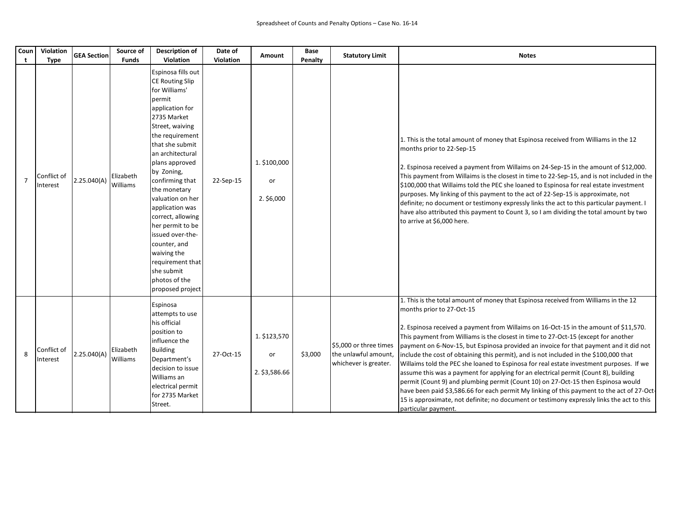| Coun<br>t      | Violation<br><b>Type</b> | <b>GEA Section</b> | Source of<br><b>Funds</b>    | <b>Description of</b><br>Violation                                                                                                                                                                                                                                                                                                                                                                                                                                  | Date of<br>Violation | <b>Amount</b>                       | Base<br>Penalty | <b>Statutory Limit</b>                                                  | <b>Notes</b>                                                                                                                                                                                                                                                                                                                                                                                                                                                                                                                                                                                                                                                                                                                                                                                                                                                                                                                                                             |
|----------------|--------------------------|--------------------|------------------------------|---------------------------------------------------------------------------------------------------------------------------------------------------------------------------------------------------------------------------------------------------------------------------------------------------------------------------------------------------------------------------------------------------------------------------------------------------------------------|----------------------|-------------------------------------|-----------------|-------------------------------------------------------------------------|--------------------------------------------------------------------------------------------------------------------------------------------------------------------------------------------------------------------------------------------------------------------------------------------------------------------------------------------------------------------------------------------------------------------------------------------------------------------------------------------------------------------------------------------------------------------------------------------------------------------------------------------------------------------------------------------------------------------------------------------------------------------------------------------------------------------------------------------------------------------------------------------------------------------------------------------------------------------------|
| $\overline{7}$ | Conflict of<br>Interest  | 2.25.040(A)        | Elizabeth<br>Williams        | Espinosa fills out<br><b>CE Routing Slip</b><br>for Williams'<br>permit<br>application for<br>2735 Market<br>Street, waiving<br>the requirement<br>that she submit<br>an architectural<br>plans approved<br>by Zoning,<br>confirming that<br>the monetary<br>valuation on her<br>application was<br>correct, allowing<br>her permit to be<br>issued over-the-<br>counter, and<br>waiving the<br>requirement that<br>she submit<br>photos of the<br>proposed project | 22-Sep-15            | 1. \$100,000<br>or<br>2. \$6,000    |                 |                                                                         | 1. This is the total amount of money that Espinosa received from Williams in the 12<br>months prior to 22-Sep-15<br>2. Espinosa received a payment from Willaims on 24-Sep-15 in the amount of \$12,000.<br>This payment from Willaims is the closest in time to 22-Sep-15, and is not included in the<br>\$100,000 that Willaims told the PEC she loaned to Espinosa for real estate investment<br>purposes. My linking of this payment to the act of 22-Sep-15 is approximate, not<br>definite; no document or testimony expressly links the act to this particular payment. I<br>have also attributed this payment to Count 3, so I am dividing the total amount by two<br>to arrive at \$6,000 here.                                                                                                                                                                                                                                                                 |
| 8              | Conflict of<br>Interest  | 2.25.040(A)        | Elizabeth<br><b>Williams</b> | Espinosa<br>attempts to use<br>his official<br>position to<br>influence the<br><b>Building</b><br>Department's<br>decision to issue<br>Williams an<br>electrical permit<br>for 2735 Market<br>Street.                                                                                                                                                                                                                                                               | 27-Oct-15            | 1. \$123,570<br>or<br>2. \$3,586.66 | \$3,000         | \$5,000 or three times<br>the unlawful amount,<br>whichever is greater. | 1. This is the total amount of money that Espinosa received from Williams in the 12<br>months prior to 27-Oct-15<br>2. Espinosa received a payment from Willaims on 16-Oct-15 in the amount of \$11,570.<br>This payment from Williams is the closest in time to 27-Oct-15 (except for another<br>payment on 6-Nov-15, but Espinosa provided an invoice for that payment and it did not<br>include the cost of obtaining this permit), and is not included in the \$100,000 that<br>Willaims told the PEC she loaned to Espinosa for real estate investment purposes. If we<br>assume this was a payment for applying for an electrical permit (Count 8), building<br>permit (Count 9) and plumbing permit (Count 10) on 27-Oct-15 then Espinosa would<br>have been paid \$3,586.66 for each permit My linking of this payment to the act of 27-Oct-<br>15 is approximate, not definite; no document or testimony expressly links the act to this<br>particular payment. |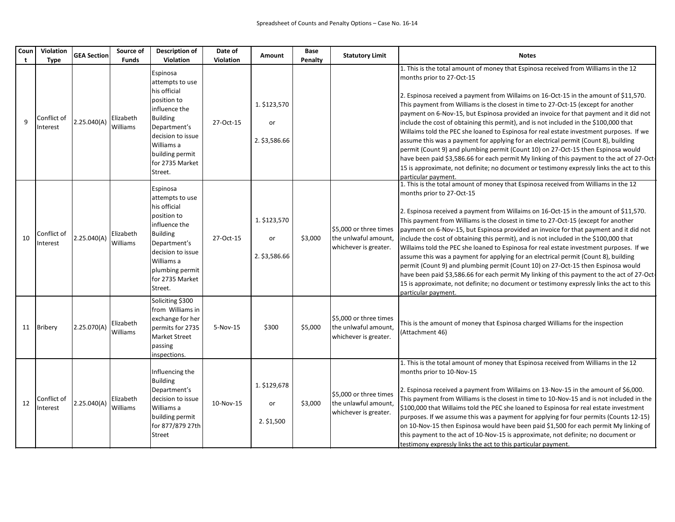| Coun | Violation<br><b>Type</b> | <b>GEA Section</b> | Source of<br><b>Funds</b> | Description of<br>Violation                                                                                                                                                                        | Date of<br>Violation | Amount                              | Base<br>Penalty | <b>Statutory Limit</b>                                                  | <b>Notes</b>                                                                                                                                                                                                                                                                                                                                                                                                                                                                                                                                                                                                                                                                                                                                                                                                                                                                                                                                                             |
|------|--------------------------|--------------------|---------------------------|----------------------------------------------------------------------------------------------------------------------------------------------------------------------------------------------------|----------------------|-------------------------------------|-----------------|-------------------------------------------------------------------------|--------------------------------------------------------------------------------------------------------------------------------------------------------------------------------------------------------------------------------------------------------------------------------------------------------------------------------------------------------------------------------------------------------------------------------------------------------------------------------------------------------------------------------------------------------------------------------------------------------------------------------------------------------------------------------------------------------------------------------------------------------------------------------------------------------------------------------------------------------------------------------------------------------------------------------------------------------------------------|
| 9    | Conflict of<br>Interest  | 2.25.040(A)        | Elizabeth<br>Williams     | Espinosa<br>attempts to use<br>his official<br>position to<br>influence the<br><b>Building</b><br>Department's<br>decision to issue<br>Williams a<br>building permit<br>for 2735 Market<br>Street. | 27-Oct-15            | 1. \$123,570<br>or<br>2. \$3,586.66 |                 |                                                                         | 1. This is the total amount of money that Espinosa received from Williams in the 12<br>months prior to 27-Oct-15<br>2. Espinosa received a payment from Willaims on 16-Oct-15 in the amount of \$11,570.<br>This payment from Williams is the closest in time to 27-Oct-15 (except for another<br>payment on 6-Nov-15, but Espinosa provided an invoice for that payment and it did not<br>include the cost of obtaining this permit), and is not included in the \$100,000 that<br>Willaims told the PEC she loaned to Espinosa for real estate investment purposes. If we<br>assume this was a payment for applying for an electrical permit (Count 8), building<br>permit (Count 9) and plumbing permit (Count 10) on 27-Oct-15 then Espinosa would<br>have been paid \$3,586.66 for each permit My linking of this payment to the act of 27-Oct-<br>15 is approximate, not definite; no document or testimony expressly links the act to this<br>particular payment. |
| 10   | Conflict of<br>Interest  | 2.25.040(A)        | Elizabeth<br>Williams     | Espinosa<br>attempts to use<br>his official<br>position to<br>influence the<br><b>Building</b><br>Department's<br>decision to issue<br>Williams a<br>plumbing permit<br>for 2735 Market<br>Street. | 27-Oct-15            | 1. \$123,570<br>or<br>2. \$3,586.66 | \$3,000         | \$5.000 or three times<br>the unlwaful amount,<br>whichever is greater. | 1. This is the total amount of money that Espinosa received from Williams in the 12<br>months prior to 27-Oct-15<br>2. Espinosa received a payment from Willaims on 16-Oct-15 in the amount of \$11,570.<br>This payment from Williams is the closest in time to 27-Oct-15 (except for another<br>payment on 6-Nov-15, but Espinosa provided an invoice for that payment and it did not<br>include the cost of obtaining this permit), and is not included in the \$100,000 that<br>Willaims told the PEC she loaned to Espinosa for real estate investment purposes. If we<br>assume this was a payment for applying for an electrical permit (Count 8), building<br>permit (Count 9) and plumbing permit (Count 10) on 27-Oct-15 then Espinosa would<br>have been paid \$3,586.66 for each permit My linking of this payment to the act of 27-Oct-<br>15 is approximate, not definite; no document or testimony expressly links the act to this<br>particular payment. |
| 11   | Bribery                  | 2.25.070(A)        | Elizabeth<br>Williams     | Soliciting \$300<br>from Williams in<br>exchange for her<br>permits for 2735<br>Market Street<br>passing<br>inspections.                                                                           | 5-Nov-15             | \$300                               | \$5,000         | \$5,000 or three times<br>the unlwaful amount,<br>whichever is greater. | This is the amount of money that Espinosa charged Williams for the inspection<br>(Attachment 46)                                                                                                                                                                                                                                                                                                                                                                                                                                                                                                                                                                                                                                                                                                                                                                                                                                                                         |
| 12   | Conflict of<br>Interest  | 2.25.040(A)        | Elizabeth<br>Williams     | Influencing the<br><b>Building</b><br>Department's<br>decision to issue<br>Williams a<br>building permit<br>for 877/879 27th<br>Street                                                             | 10-Nov-15            | 1. \$129,678<br>or<br>2. \$1,500    | \$3,000         | \$5,000 or three times<br>the unlawful amount,<br>whichever is greater. | 1. This is the total amount of money that Espinosa received from Williams in the 12<br>months prior to 10-Nov-15<br>2. Espinosa received a payment from Willaims on 13-Nov-15 in the amount of \$6,000.<br>This payment from Williams is the closest in time to 10-Nov-15 and is not included in the<br>\$100,000 that Willaims told the PEC she loaned to Espinosa for real estate investment<br>purposes. If we assume this was a payment for applying for four permits (Counts 12-15)<br>on 10-Nov-15 then Espinosa would have been paid \$1,500 for each permit My linking of<br>this payment to the act of 10-Nov-15 is approximate, not definite; no document or<br>testimony expressly links the act to this particular payment.                                                                                                                                                                                                                                  |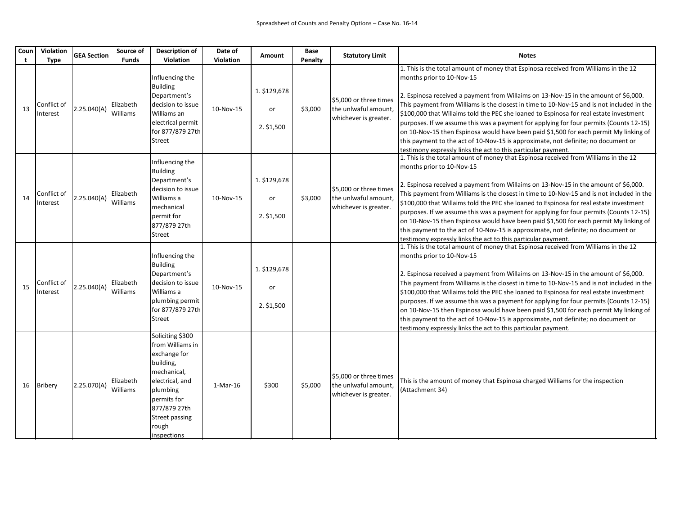| Coun<br>t | Violation<br>Type       | <b>GEA Section</b> | Source of<br><b>Funds</b> | <b>Description of</b><br>Violation                                                                                                                                                       | Date of<br>Violation | Amount                           | Base<br>Penalty | <b>Statutory Limit</b>                                                  | <b>Notes</b>                                                                                                                                                                                                                                                                                                                                                                                                                                                                                                                                                                                                                                                                                                                                    |
|-----------|-------------------------|--------------------|---------------------------|------------------------------------------------------------------------------------------------------------------------------------------------------------------------------------------|----------------------|----------------------------------|-----------------|-------------------------------------------------------------------------|-------------------------------------------------------------------------------------------------------------------------------------------------------------------------------------------------------------------------------------------------------------------------------------------------------------------------------------------------------------------------------------------------------------------------------------------------------------------------------------------------------------------------------------------------------------------------------------------------------------------------------------------------------------------------------------------------------------------------------------------------|
| 13        | Conflict of<br>Interest | 2.25.040(A)        | Elizabeth<br>Williams     | Influencing the<br><b>Building</b><br>Department's<br>decision to issue<br>Williams an<br>electrical permit<br>for 877/879 27th<br>Street                                                | 10-Nov-15            | 1. \$129,678<br>or<br>2. \$1,500 | \$3,000         | \$5,000 or three times<br>the unlwaful amount,<br>whichever is greater. | 1. This is the total amount of money that Espinosa received from Williams in the 12<br>months prior to 10-Nov-15<br>2. Espinosa received a payment from Willaims on 13-Nov-15 in the amount of \$6,000.<br>This payment from Williams is the closest in time to 10-Nov-15 and is not included in the<br>\$100,000 that Willaims told the PEC she loaned to Espinosa for real estate investment<br>purposes. If we assume this was a payment for applying for four permits (Counts 12-15)<br>on 10-Nov-15 then Espinosa would have been paid \$1,500 for each permit My linking of<br>this payment to the act of 10-Nov-15 is approximate, not definite; no document or<br>testimony expressly links the act to this particular payment.         |
| 14        | Conflict of<br>Interest | 2.25.040(A)        | Elizabeth<br>Williams     | Influencing the<br><b>Building</b><br>Department's<br>decision to issue<br>Williams a<br>mechanical<br>permit for<br>877/879 27th<br>Street                                              | 10-Nov-15            | 1. \$129,678<br>or<br>2. \$1,500 | \$3,000         | \$5,000 or three times<br>the unlwaful amount,<br>whichever is greater. | $ 1$ . This is the total amount of money that Espinosa received from Williams in the 12<br>months prior to 10-Nov-15<br>2. Espinosa received a payment from Willaims on 13-Nov-15 in the amount of \$6,000.<br>This payment from Williams is the closest in time to 10-Nov-15 and is not included in the<br>\$100,000 that Willaims told the PEC she loaned to Espinosa for real estate investment<br>purposes. If we assume this was a payment for applying for four permits (Counts 12-15)<br>on 10-Nov-15 then Espinosa would have been paid \$1,500 for each permit My linking of<br>this payment to the act of 10-Nov-15 is approximate, not definite; no document or<br>testimony expressly links the act to this particular payment.     |
| 15        | Conflict of<br>Interest | 2.25.040(A)        | Elizabeth<br>Williams     | Influencing the<br><b>Building</b><br>Department's<br>decision to issue<br>Williams a<br>plumbing permit<br>for 877/879 27th<br>Street                                                   | 10-Nov-15            | 1. \$129,678<br>or<br>2. \$1,500 |                 |                                                                         | $\vert$ 1. This is the total amount of money that Espinosa received from Williams in the 12<br>months prior to 10-Nov-15<br>2. Espinosa received a payment from Willaims on 13-Nov-15 in the amount of \$6,000.<br>This payment from Williams is the closest in time to 10-Nov-15 and is not included in the<br>\$100,000 that Willaims told the PEC she loaned to Espinosa for real estate investment<br>purposes. If we assume this was a payment for applying for four permits (Counts 12-15)<br>on 10-Nov-15 then Espinosa would have been paid \$1,500 for each permit My linking of<br>this payment to the act of 10-Nov-15 is approximate, not definite; no document or<br>testimony expressly links the act to this particular payment. |
| 16        | <b>Bribery</b>          | 2.25.070(A)        | Elizabeth<br>Williams     | Soliciting \$300<br>from Williams in<br>exchange for<br>building,<br>mechanical,<br>electrical, and<br>plumbing<br>permits for<br>877/879 27th<br>Street passing<br>rough<br>inspections | 1-Mar-16             | \$300                            | \$5,000         | \$5,000 or three times<br>the unlwaful amount,<br>whichever is greater. | This is the amount of money that Espinosa charged Williams for the inspection<br>(Attachment 34)                                                                                                                                                                                                                                                                                                                                                                                                                                                                                                                                                                                                                                                |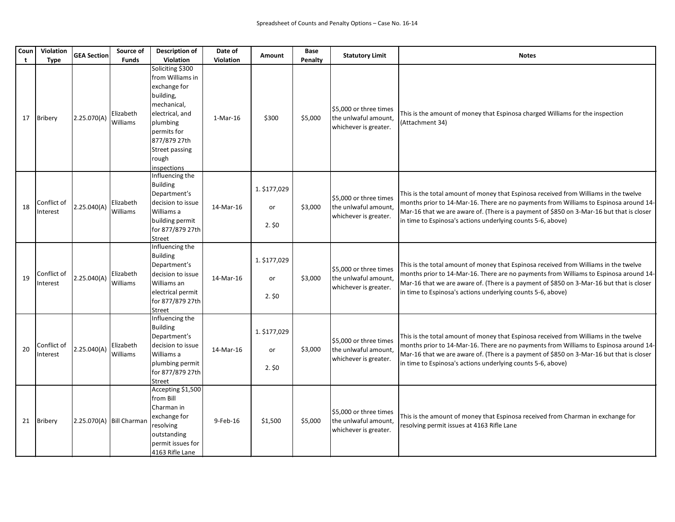| Coun<br>t | Violation<br><b>Type</b> | <b>GEA Section</b>         | Source of<br><b>Funds</b>    | <b>Description of</b><br>Violation                                                                                                                                                       | Date of<br>Violation | <b>Amount</b>              | <b>Base</b><br>Penalty | <b>Statutory Limit</b>                                                  | <b>Notes</b>                                                                                                                                                                                                                                                                                                                             |
|-----------|--------------------------|----------------------------|------------------------------|------------------------------------------------------------------------------------------------------------------------------------------------------------------------------------------|----------------------|----------------------------|------------------------|-------------------------------------------------------------------------|------------------------------------------------------------------------------------------------------------------------------------------------------------------------------------------------------------------------------------------------------------------------------------------------------------------------------------------|
| 17        | Bribery                  | 2.25.070(A)                | Elizabeth<br><b>Williams</b> | Soliciting \$300<br>from Williams in<br>exchange for<br>building,<br>mechanical.<br>electrical, and<br>plumbing<br>permits for<br>877/879 27th<br>Street passing<br>rough<br>inspections | 1-Mar-16             | \$300                      | \$5,000                | \$5,000 or three times<br>the unlwaful amount,<br>whichever is greater. | This is the amount of money that Espinosa charged Williams for the inspection<br>(Attachment 34)                                                                                                                                                                                                                                         |
| 18        | Conflict of<br>Interest  | 2.25.040(A)                | Elizabeth<br><b>Williams</b> | Influencing the<br><b>Building</b><br>Department's<br>decision to issue<br>Williams a<br>building permit<br>for 877/879 27th<br>Street                                                   | 14-Mar-16            | 1. \$177,029<br>or<br>2.50 | \$3,000                | \$5,000 or three times<br>the unlwaful amount,<br>whichever is greater. | This is the total amount of money that Espinosa received from Williams in the twelve<br>months prior to 14-Mar-16. There are no payments from Williams to Espinosa around 14-<br>Mar-16 that we are aware of. (There is a payment of \$850 on 3-Mar-16 but that is closer<br>in time to Espinosa's actions underlying counts 5-6, above) |
| 19        | Conflict of<br>Interest  | 2.25.040(A)                | Elizabeth<br><b>Williams</b> | Influencing the<br><b>Building</b><br>Department's<br>decision to issue<br>Williams an<br>electrical permit<br>for 877/879 27th<br>Street                                                | 14-Mar-16            | 1. \$177,029<br>or<br>2.50 | \$3,000                | \$5,000 or three times<br>the unlwaful amount,<br>whichever is greater. | This is the total amount of money that Espinosa received from Williams in the twelve<br>months prior to 14-Mar-16. There are no payments from Williams to Espinosa around 14-<br>Mar-16 that we are aware of. (There is a payment of \$850 on 3-Mar-16 but that is closer<br>in time to Espinosa's actions underlying counts 5-6, above) |
| 20        | Conflict of<br>Interest  | 2.25.040(A)                | Elizabeth<br>Williams        | Influencing the<br><b>Building</b><br>Department's<br>decision to issue<br>Williams a<br>plumbing permit<br>for 877/879 27th<br>Street                                                   | 14-Mar-16            | 1. \$177,029<br>or<br>2.50 | \$3,000                | \$5,000 or three times<br>the unlwaful amount,<br>whichever is greater. | This is the total amount of money that Espinosa received from Williams in the twelve<br>months prior to 14-Mar-16. There are no payments from Williams to Espinosa around 14-<br>Mar-16 that we are aware of. (There is a payment of \$850 on 3-Mar-16 but that is closer<br>in time to Espinosa's actions underlying counts 5-6, above) |
|           | 21 Bribery               | 2.25.070(A)   Bill Charman |                              | Accepting \$1,500<br>from Bill<br>Charman in<br>exchange for<br>resolving<br>outstanding<br>permit issues for<br>4163 Rifle Lane                                                         | 9-Feb-16             | \$1,500                    | \$5,000                | \$5,000 or three times<br>the unlwaful amount,<br>whichever is greater. | This is the amount of money that Espinosa received from Charman in exchange for<br>resolving permit issues at 4163 Rifle Lane                                                                                                                                                                                                            |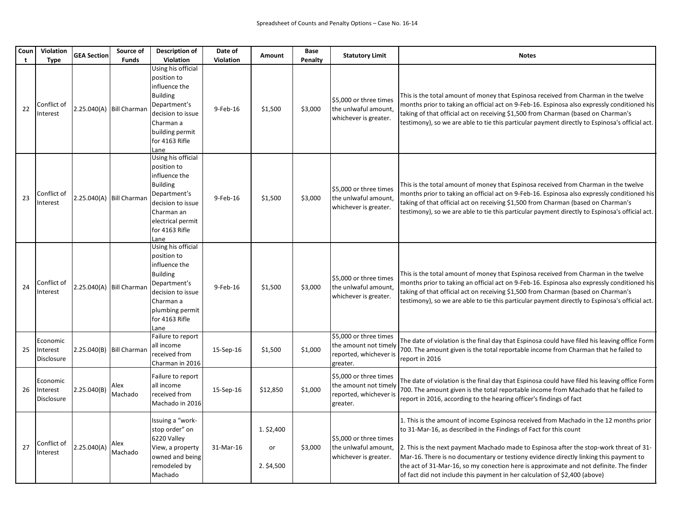| Coun | Violation<br><b>Type</b>           | <b>GEA Section</b>         | Source of<br><b>Funds</b>  | <b>Description of</b><br>Violation                                                                                                                                      | Date of<br>Violation | Amount                         | <b>Base</b><br>Penalty | <b>Statutory Limit</b>                                                                | <b>Notes</b>                                                                                                                                                                                                                                                                                                                                                                                                                                                                                                          |
|------|------------------------------------|----------------------------|----------------------------|-------------------------------------------------------------------------------------------------------------------------------------------------------------------------|----------------------|--------------------------------|------------------------|---------------------------------------------------------------------------------------|-----------------------------------------------------------------------------------------------------------------------------------------------------------------------------------------------------------------------------------------------------------------------------------------------------------------------------------------------------------------------------------------------------------------------------------------------------------------------------------------------------------------------|
| 22   | Conflict of<br>Interest            |                            | 2.25.040(A) Bill Charman   | Using his official<br>position to<br>influence the<br><b>Building</b><br>Department's<br>decision to issue<br>Charman a<br>building permit<br>for 4163 Rifle<br>Lane    | 9-Feb-16             | \$1,500                        | \$3,000                | \$5,000 or three times<br>the unlwaful amount,<br>whichever is greater.               | This is the total amount of money that Espinosa received from Charman in the twelve<br>months prior to taking an official act on 9-Feb-16. Espinosa also expressly conditioned his<br>taking of that official act on receiving \$1,500 from Charman (based on Charman's<br>testimony), so we are able to tie this particular payment directly to Espinosa's official act.                                                                                                                                             |
| 23   | Conflict of<br>Interest            |                            | 2.25.040(A)   Bill Charman | Using his official<br>position to<br>influence the<br><b>Building</b><br>Department's<br>decision to issue<br>Charman an<br>electrical permit<br>for 4163 Rifle<br>Lane | 9-Feb-16             | \$1,500                        | \$3,000                | \$5,000 or three times<br>the unlwaful amount,<br>whichever is greater.               | This is the total amount of money that Espinosa received from Charman in the twelve<br>months prior to taking an official act on 9-Feb-16. Espinosa also expressly conditioned his<br>taking of that official act on receiving \$1,500 from Charman (based on Charman's<br>testimony), so we are able to tie this particular payment directly to Espinosa's official act.                                                                                                                                             |
| 24   | Conflict of<br>Interest            |                            | 2.25.040(A)   Bill Charman | Using his official<br>position to<br>influence the<br><b>Building</b><br>Department's<br>decision to issue<br>Charman a<br>plumbing permit<br>for 4163 Rifle<br>Lane    | 9-Feb-16             | \$1,500                        | \$3,000                | \$5,000 or three times<br>the unlwaful amount,<br>whichever is greater.               | This is the total amount of money that Espinosa received from Charman in the twelve<br>months prior to taking an official act on 9-Feb-16. Espinosa also expressly conditioned his<br>taking of that official act on receiving \$1,500 from Charman (based on Charman's<br>testimony), so we are able to tie this particular payment directly to Espinosa's official act.                                                                                                                                             |
| 25   | Economic<br>Interest<br>Disclosure | $2.25.040(B)$ Bill Charman |                            | Failure to report<br>all income<br>received from<br>Charman in 2016                                                                                                     | 15-Sep-16            | \$1,500                        | \$1,000                | \$5,000 or three times<br>the amount not timely<br>reported, whichever is<br>greater. | The date of violation is the final day that Espinosa could have filed his leaving office Form<br>700. The amount given is the total reportable income from Charman that he failed to<br>report in 2016                                                                                                                                                                                                                                                                                                                |
| 26   | Economic<br>Interest<br>Disclosure | 2.25.040(B)                | Alex<br>Machado            | Failure to report<br>all income<br>received from<br>Machado in 2016                                                                                                     | 15-Sep-16            | \$12,850                       | \$1,000                | \$5,000 or three times<br>the amount not timely<br>reported, whichever is<br>greater. | The date of violation is the final day that Espinosa could have filed his leaving office Form<br>700. The amount given is the total reportable income from Machado that he failed to<br>report in 2016, according to the hearing officer's findings of fact                                                                                                                                                                                                                                                           |
| 27   | Conflict of<br>Interest            | 2.25.040(A)                | Alex<br>Machado            | Issuing a "work-<br>stop order" on<br>6220 Valley<br>View, a property<br>owned and being<br>remodeled by<br>Machado                                                     | 31-Mar-16            | 1. \$2,400<br>or<br>2. \$4,500 | \$3,000                | \$5,000 or three times<br>the unlwaful amount,<br>whichever is greater.               | 1. This is the amount of income Espinosa received from Machado in the 12 months prior<br>to 31-Mar-16, as described in the Findings of Fact for this count<br>2. This is the next payment Machado made to Espinosa after the stop-work threat of 31-<br>Mar-16. There is no documentary or testiony evidence directly linking this payment to<br>the act of 31-Mar-16, so my conection here is approximate and not definite. The finder<br>of fact did not include this payment in her calculation of \$2,400 (above) |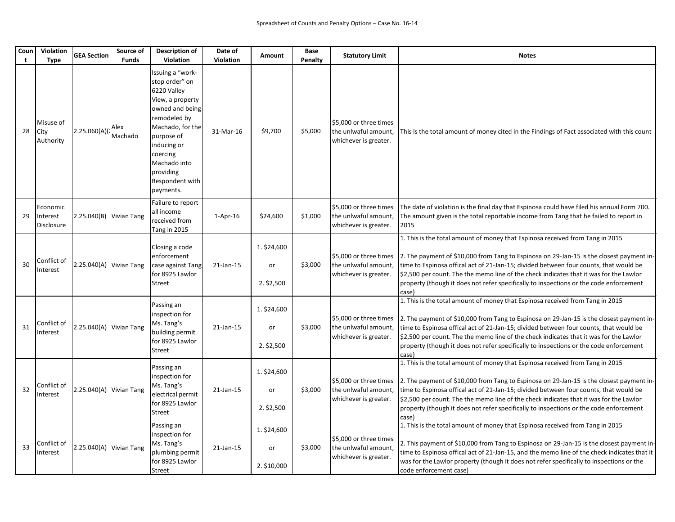| Coun | Violation<br><b>Type</b>           | <b>GEA Section</b>        | Source of<br><b>Funds</b> | <b>Description of</b><br>Violation                                                                                                                                                                                                 | Date of<br>Violation | <b>Amount</b>                     | <b>Base</b><br>Penalty | <b>Statutory Limit</b>                                                  | <b>Notes</b>                                                                                                                                                                                                                                                                                                                                                                                                                                                    |
|------|------------------------------------|---------------------------|---------------------------|------------------------------------------------------------------------------------------------------------------------------------------------------------------------------------------------------------------------------------|----------------------|-----------------------------------|------------------------|-------------------------------------------------------------------------|-----------------------------------------------------------------------------------------------------------------------------------------------------------------------------------------------------------------------------------------------------------------------------------------------------------------------------------------------------------------------------------------------------------------------------------------------------------------|
| 28   | Misuse of<br>City<br>Authority     | 2.25.060(A)               | Alex<br>Machado           | Issuing a "work-<br>stop order" on<br>6220 Valley<br>View, a property<br>owned and being<br>remodeled by<br>Machado, for the<br>purpose of<br>inducing or<br>coercing<br>Machado into<br>providing<br>Respondent with<br>payments. | 31-Mar-16            | \$9,700                           | \$5,000                | \$5,000 or three times<br>the unlwaful amount,<br>whichever is greater. | This is the total amount of money cited in the Findings of Fact associated with this count                                                                                                                                                                                                                                                                                                                                                                      |
| 29   | Economic<br>Interest<br>Disclosure | 2.25.040(B) Vivian Tang   |                           | Failure to report<br>all income<br>received from<br>Tang in 2015                                                                                                                                                                   | $1-Apr-16$           | \$24,600                          | \$1,000                | \$5,000 or three times<br>the unlwaful amount,<br>whichever is greater. | The date of violation is the final day that Espinosa could have filed his annual Form 700.<br>The amount given is the total reportable income from Tang that he failed to report in<br>2015                                                                                                                                                                                                                                                                     |
| 30   | Conflict of<br>Interest            | $2.25.040(A)$ Vivian Tang |                           | Closing a code<br>enforcement<br>case against Tang<br>for 8925 Lawlor<br>Street                                                                                                                                                    | 21-Jan-15            | 1. \$24,600<br>or<br>$2.$ \$2,500 | \$3,000                | \$5,000 or three times<br>the unlwaful amount,<br>whichever is greater. | 1. This is the total amount of money that Espinosa received from Tang in 2015<br>2. The payment of \$10,000 from Tang to Espinosa on 29-Jan-15 is the closest payment in-<br>time to Espinosa offical act of 21-Jan-15; divided between four counts, that would be<br>\$2,500 per count. The the memo line of the check indicates that it was for the Lawlor<br>property (though it does not refer specifically to inspections or the code enforcement<br>case) |
| 31   | Conflict of<br>Interest            | $2.25.040(A)$ Vivian Tang |                           | Passing an<br>inspection for<br>Ms. Tang's<br>building permit<br>for 8925 Lawlor<br>Street                                                                                                                                         | 21-Jan-15            | 1. \$24,600<br>or<br>$2.$ \$2,500 | \$3,000                | \$5,000 or three times<br>the unlwaful amount,<br>whichever is greater. | 1. This is the total amount of money that Espinosa received from Tang in 2015<br>2. The payment of \$10,000 from Tang to Espinosa on 29-Jan-15 is the closest payment in-<br>time to Espinosa offical act of 21-Jan-15; divided between four counts, that would be<br>\$2,500 per count. The the memo line of the check indicates that it was for the Lawlor<br>property (though it does not refer specifically to inspections or the code enforcement<br>case) |
| 32   | Conflict of<br>Interest            | 2.25.040(A) Vivian Tang   |                           | Passing an<br>inspection for<br>Ms. Tang's<br>electrical permit<br>for 8925 Lawlor<br>Street                                                                                                                                       | 21-Jan-15            | 1. \$24,600<br>or<br>$2.$ \$2,500 | \$3,000                | \$5,000 or three times<br>the unlwaful amount,<br>whichever is greater. | 1. This is the total amount of money that Espinosa received from Tang in 2015<br>2. The payment of \$10,000 from Tang to Espinosa on 29-Jan-15 is the closest payment in-<br>time to Espinosa offical act of 21-Jan-15; divided between four counts, that would be<br>\$2,500 per count. The the memo line of the check indicates that it was for the Lawlor<br>property (though it does not refer specifically to inspections or the code enforcement<br>case) |
| 33   | Conflict of<br>Interest            | 2.25.040(A) Vivian Tang   |                           | Passing an<br>inspection for<br>Ms. Tang's<br>plumbing permit<br>for 8925 Lawlor<br>Street                                                                                                                                         | 21-Jan-15            | 1. \$24,600<br>or<br>2. \$10,000  | \$3,000                | \$5,000 or three times<br>the unlwaful amount,<br>whichever is greater. | 1. This is the total amount of money that Espinosa received from Tang in 2015<br>2. This payment of \$10,000 from Tang to Espinosa on 29-Jan-15 is the closest payment in-<br>time to Espinosa offical act of 21-Jan-15, and the memo line of the check indicates that it<br>was for the Lawlor property (though it does not refer specifically to inspections or the<br>code enforcement case)                                                                 |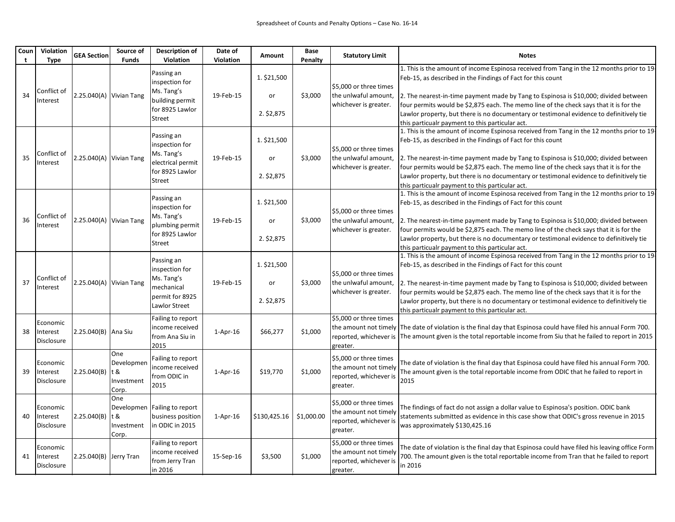| Coun | Violation<br><b>Type</b>                  | <b>GEA Section</b>        | Source of<br><b>Funds</b>                        | Description of<br>Violation                                                                         | Date of<br>Violation | <b>Amount</b>                   | Base<br>Penalty | <b>Statutory Limit</b>                                                                | <b>Notes</b>                                                                                                                                                                                                                                                                                                                                                                                                                                                                             |
|------|-------------------------------------------|---------------------------|--------------------------------------------------|-----------------------------------------------------------------------------------------------------|----------------------|---------------------------------|-----------------|---------------------------------------------------------------------------------------|------------------------------------------------------------------------------------------------------------------------------------------------------------------------------------------------------------------------------------------------------------------------------------------------------------------------------------------------------------------------------------------------------------------------------------------------------------------------------------------|
| 34   | Conflict of<br>Interest                   | $2.25.040(A)$ Vivian Tang |                                                  | Passing an<br>inspection for<br>Ms. Tang's<br>building permit<br>for 8925 Lawlor<br>Street          | 19-Feb-15            | 1. \$21,500<br>or<br>2. \$2,875 | \$3,000         | \$5,000 or three times<br>the unlwaful amount,<br>whichever is greater.               | 1. This is the amount of income Espinosa received from Tang in the 12 months prior to 19<br>Feb-15, as described in the Findings of Fact for this count<br>2. The nearest-in-time payment made by Tang to Espinosa is \$10,000; divided between<br>four permits would be \$2,875 each. The memo line of the check says that it is for the<br>Lawlor property, but there is no documentary or testimonal evidence to definitively tie<br>this particualr payment to this particular act.  |
| 35   | Conflict of<br>Interest                   | $2.25.040(A)$ Vivian Tang |                                                  | Passing an<br>inspection for<br>Ms. Tang's<br>electrical permit<br>for 8925 Lawlor<br><b>Street</b> | 19-Feb-15            | 1. \$21,500<br>or<br>2. \$2,875 | \$3,000         | \$5,000 or three times<br>the unlwaful amount,<br>whichever is greater.               | 1. This is the amount of income Espinosa received from Tang in the 12 months prior to 19-<br>Feb-15, as described in the Findings of Fact for this count<br>2. The nearest-in-time payment made by Tang to Espinosa is \$10,000; divided between<br>four permits would be \$2,875 each. The memo line of the check says that it is for the<br>Lawlor property, but there is no documentary or testimonal evidence to definitively tie<br>this particualr payment to this particular act. |
| 36   | Conflict of<br>Interest                   | $2.25.040(A)$ Vivian Tang |                                                  | Passing an<br>inspection for<br>Ms. Tang's<br>plumbing permit<br>for 8925 Lawlor<br>Street          | 19-Feb-15            | 1. \$21,500<br>or<br>2. \$2,875 | \$3,000         | \$5.000 or three times<br>the unlwaful amount,<br>whichever is greater.               | 1. This is the amount of income Espinosa received from Tang in the 12 months prior to 19<br>Feb-15, as described in the Findings of Fact for this count<br>2. The nearest-in-time payment made by Tang to Espinosa is \$10,000; divided between<br>four permits would be \$2,875 each. The memo line of the check says that it is for the<br>Lawlor property, but there is no documentary or testimonal evidence to definitively tie<br>this particualr payment to this particular act.  |
| 37   | Conflict of<br>Interest                   | $2.25.040(A)$ Vivian Tang |                                                  | Passing an<br>inspection for<br>Ms. Tang's<br>mechanical<br>permit for 8925<br>Lawlor Street        | 19-Feb-15            | 1. \$21,500<br>or<br>2. \$2,875 | \$3,000         | \$5,000 or three times<br>the unlwaful amount,<br>whichever is greater.               | 1. This is the amount of income Espinosa received from Tang in the 12 months prior to 19-<br>Feb-15, as described in the Findings of Fact for this count<br>2. The nearest-in-time payment made by Tang to Espinosa is \$10,000; divided between<br>four permits would be \$2,875 each. The memo line of the check says that it is for the<br>Lawlor property, but there is no documentary or testimonal evidence to definitively tie<br>this particualr payment to this particular act. |
| 38   | Economic<br>Interest<br>Disclosure        | 2.25.040(B) Ana Siu       |                                                  | Failing to report<br>income received<br>from Ana Siu in<br>2015                                     | $1-Apr-16$           | \$66,277                        | \$1,000         | \$5,000 or three times<br>greater.                                                    | the amount not timely   The date of violation is the final day that Espinosa could have filed his annual Form 700.<br>reported, whichever is  The amount given is the total reportable income from Siu that he failed to report in 2015                                                                                                                                                                                                                                                  |
| 39   | Economic<br>Interest<br>Disclosure        | 2.25.040(B)               | One<br>Developmen<br>lt &<br>Investment<br>Corp. | Failing to report<br>income received<br>from ODIC in<br>2015                                        | $1-Apr-16$           | \$19,770                        | \$1,000         | \$5,000 or three times<br>the amount not timely<br>reported, whichever is<br>greater. | The date of violation is the final day that Espinosa could have filed his annual Form 700.<br>The amount given is the total reportable income from ODIC that he failed to report in<br>2015                                                                                                                                                                                                                                                                                              |
| 40   | Economic<br>Interest<br><b>Disclosure</b> | 2.25.040(B)  t &          | One<br>Investment<br>Corp.                       | Developmen   Failing to report<br>business position<br>in ODIC in 2015                              | $1-Apr-16$           | \$130,425.16                    | \$1,000.00      | \$5,000 or three times<br>the amount not timely<br>reported, whichever is<br>greater. | The findings of fact do not assign a dollar value to Espinosa's position. ODIC bank<br>statements submitted as evidence in this case show that ODIC's gross revenue in 2015<br>was approximately \$130,425.16                                                                                                                                                                                                                                                                            |
| 41   | Economic<br>Interest<br>Disclosure        | 2.25.040(B) Jerry Tran    |                                                  | Failing to report<br>income received<br>from Jerry Tran<br>in 2016                                  | 15-Sep-16            | \$3,500                         | \$1,000         | \$5,000 or three times<br>the amount not timely<br>reported, whichever is<br>greater. | The date of violation is the final day that Espinosa could have filed his leaving office Form<br>700. The amount given is the total reportable income from Tran that he failed to report<br>in 2016                                                                                                                                                                                                                                                                                      |